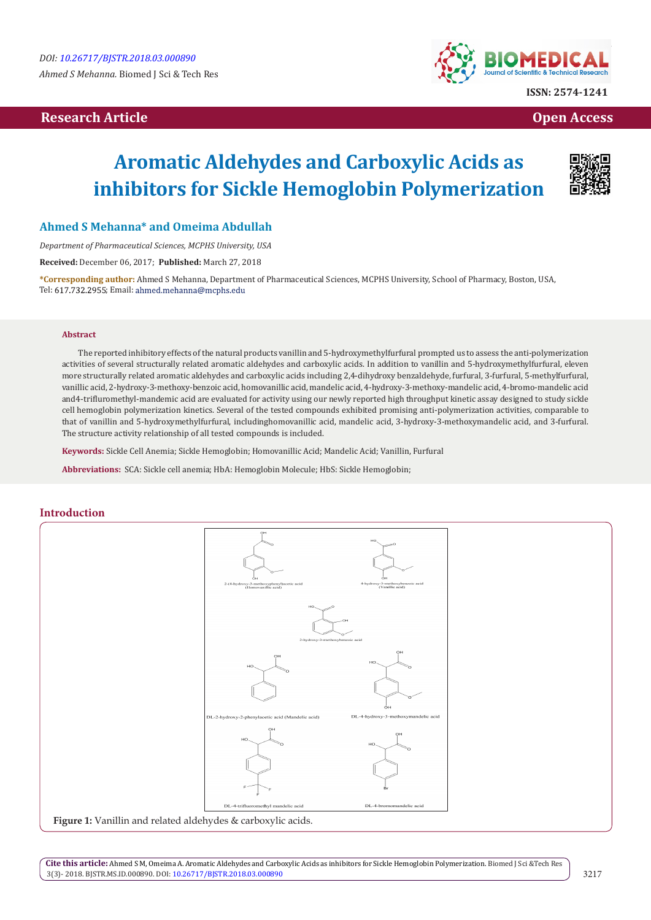# **Research Article Open Access Contract Article Open Access Open Access Open Access**



# **Aromatic Aldehydes and Carboxylic Acids as inhibitors for Sickle Hemoglobin Polymerization**



# **Ahmed S Mehanna\* and Omeima Abdullah**

*Department of Pharmaceutical Sciences, MCPHS University, USA*

**Received:** December 06, 2017; **Published:** March 27, 2018

**\*Corresponding author:** Ahmed S Mehanna, Department of Pharmaceutical Sciences, MCPHS University, School of Pharmacy, Boston, USA, Tel: 617.732.2955; Email: ahmed.mehanna@mcphs.edu

#### **Abstract**

The reported inhibitory effects of the natural products vanillin and 5-hydroxymethylfurfural prompted us to assess the anti-polymerization activities of several structurally related aromatic aldehydes and carboxylic acids. In addition to vanillin and 5-hydroxymethylfurfural, eleven more structurally related aromatic aldehydes and carboxylic acids including 2,4-dihydroxy benzaldehyde, furfural, 3-furfural, 5-methylfurfural, vanillic acid, 2-hydroxy-3-methoxy-benzoic acid, homovanillic acid, mandelic acid, 4-hydroxy-3-methoxy-mandelic acid, 4-bromo-mandelic acid and4-trifluromethyl-mandemic acid are evaluated for activity using our newly reported high throughput kinetic assay designed to study sickle cell hemoglobin polymerization kinetics. Several of the tested compounds exhibited promising anti-polymerization activities, comparable to that of vanillin and 5-hydroxymethylfurfural, includinghomovanillic acid, mandelic acid, 3-hydroxy-3-methoxymandelic acid, and 3-furfural. The structure activity relationship of all tested compounds is included.

**Keywords:** Sickle Cell Anemia; Sickle Hemoglobin; Homovanillic Acid; Mandelic Acid; Vanillin, Furfural

**Abbreviations:** SCA: Sickle cell anemia; HbA: Hemoglobin Molecule; HbS: Sickle Hemoglobin;

### **Introduction**



**Cite this article:** Ahmed S M, Omeima A. Aromatic Aldehydes and Carboxylic Acids as inhibitors for Sickle Hemoglobin Polymerization. Biomed J Sci &Tech Res 3(3)- 2018. BJSTR.MS.ID.000890. DOI: [10.26717/BJSTR.2018.03.000890](http://dx.doi.org/10.26717/BJSTR.2018.03.000890)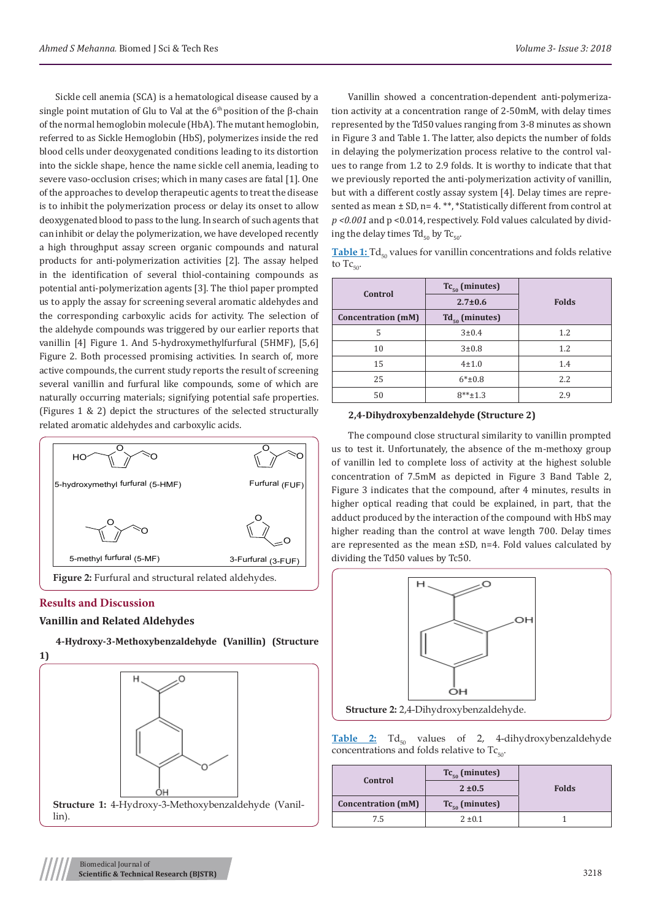Sickle cell anemia (SCA) is a hematological disease caused by a single point mutation of Glu to Val at the  $6<sup>th</sup>$  position of the  $\beta$ -chain of the normal hemoglobin molecule (HbA). The mutant hemoglobin, referred to as Sickle Hemoglobin (HbS), polymerizes inside the red blood cells under deoxygenated conditions leading to its distortion into the sickle shape, hence the name sickle cell anemia, leading to severe vaso-occlusion crises; which in many cases are fatal [1]. One of the approaches to develop therapeutic agents to treat the disease is to inhibit the polymerization process or delay its onset to allow deoxygenated blood to pass to the lung. In search of such agents that can inhibit or delay the polymerization, we have developed recently a high throughput assay screen organic compounds and natural products for anti-polymerization activities [2]. The assay helped in the identification of several thiol-containing compounds as potential anti-polymerization agents [3]. The thiol paper prompted us to apply the assay for screening several aromatic aldehydes and the corresponding carboxylic acids for activity. The selection of the aldehyde compounds was triggered by our earlier reports that vanillin [4] Figure 1. And 5-hydroxymethylfurfural (5HMF), [5,6] Figure 2. Both processed promising activities. In search of, more active compounds, the current study reports the result of screening several vanillin and furfural like compounds, some of which are naturally occurring materials; signifying potential safe properties. (Figures 1 & 2) depict the structures of the selected structurally related aromatic aldehydes and carboxylic acids.



# **Results and Discussion**

#### **Vanillin and Related Aldehydes**



**4-Hydroxy-3-Methoxybenzaldehyde (Vanillin) (Structure 1)**

Vanillin showed a concentration-dependent anti-polymerization activity at a concentration range of 2-50mM, with delay times represented by the Td50 values ranging from 3-8 minutes as shown in Figure 3 and Table 1. The latter, also depicts the number of folds in delaying the polymerization process relative to the control values to range from 1.2 to 2.9 folds. It is worthy to indicate that that we previously reported the anti-polymerization activity of vanillin, but with a different costly assay system [4]. Delay times are represented as mean ± SD, n= 4. \*\*, \*Statistically different from control at *p <0.001* and p <0.014, respectively. Fold values calculated by dividing the delay times  $Td_{50}$  by  $Tc_{50}$ .

Table 1: Td<sub>50</sub> values for vanillin concentrations and folds relative to  $Tc_{\text{eq}}$ .

| Control                   | $Tc_{50}$ (minutes) |              |  |
|---------------------------|---------------------|--------------|--|
|                           | $2.7 \pm 0.6$       | <b>Folds</b> |  |
| <b>Concentration (mM)</b> | $Td_{50}$ (minutes) |              |  |
| 5                         | 3±0.4               | 1.2          |  |
| 10                        | $3 + 0.8$           | 1.2          |  |
| 15                        | $4 + 1.0$           | 1.4          |  |
| 25                        | $6*_{\pm}0.8$       | 2.2          |  |
| 50                        | $8***+1.3$          | 2.9          |  |

#### **2,4-Dihydroxybenzaldehyde (Structure 2)**

The compound close structural similarity to vanillin prompted us to test it. Unfortunately, the absence of the m-methoxy group of vanillin led to complete loss of activity at the highest soluble concentration of 7.5mM as depicted in Figure 3 Band Table 2, Figure 3 indicates that the compound, after 4 minutes, results in higher optical reading that could be explained, in part, that the adduct produced by the interaction of the compound with HbS may higher reading than the control at wave length 700. Delay times are represented as the mean ±SD, n=4. Fold values calculated by dividing the Td50 values by Tc50.



Table 2: Td<sub>50</sub> values of 2, 4-dihydroxybenzaldehyde concentrations and folds relative to  $Tc_{50}$ .

| Control                   | $Tc_{50}$ (minutes)<br>$2 + 0.5$ | <b>Folds</b> |
|---------------------------|----------------------------------|--------------|
| <b>Concentration (mM)</b> | $Tc_{50}$ (minutes)              |              |
| 75                        | $2 \pm 0.1$                      |              |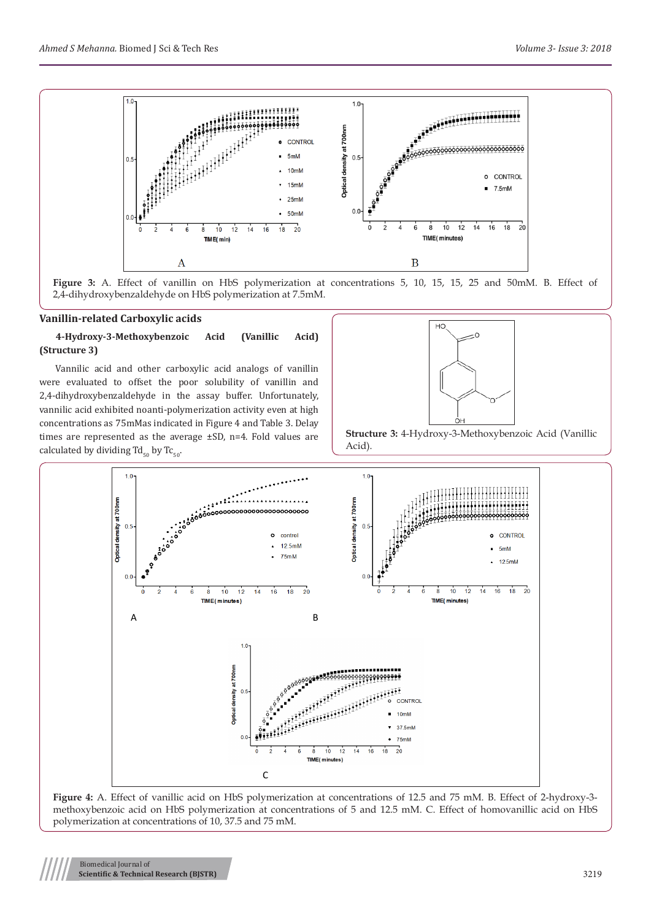

**Figure 3:** A. Effect of vanillin on HbS polymerization at concentrations 5, 10, 15, 15, 25 and 50mM. B. Effect of 2,4-dihydroxybenzaldehyde on HbS polymerization at 7.5mM.

#### **Vanillin-related Carboxylic acids**

# **4-Hydroxy-3-Methoxybenzoic Acid (Vanillic Acid) (Structure 3)**

Vannilic acid and other carboxylic acid analogs of vanillin were evaluated to offset the poor solubility of vanillin and 2,4-dihydroxybenzaldehyde in the assay buffer. Unfortunately, vannilic acid exhibited noanti-polymerization activity even at high concentrations as 75mMas indicated in Figure 4 and Table 3. Delay times are represented as the average ±SD, n=4. Fold values are calculated by dividing  $Td_{50}$  by Tc<sub>50</sub>.







**Figure 4:** A. Effect of vanillic acid on HbS polymerization at concentrations of 12.5 and 75 mM. B. Effect of 2-hydroxy-3 methoxybenzoic acid on HbS polymerization at concentrations of 5 and 12.5 mM. C. Effect of homovanillic acid on HbS polymerization at concentrations of 10, 37.5 and 75 mM.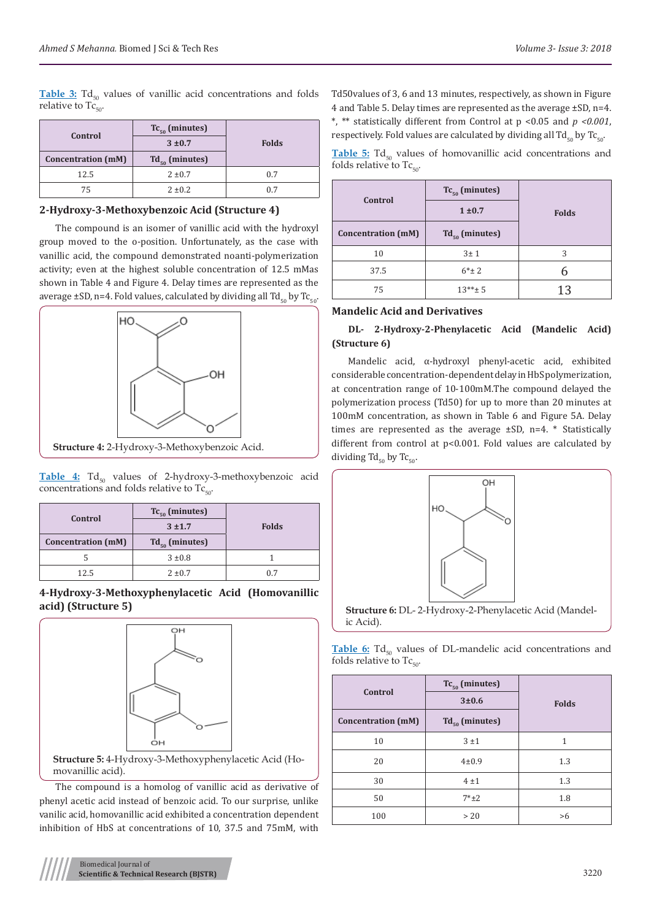**Table 3:** Td<sub>ro</sub> values of vanillic acid concentrations and folds relative to  $Tc_{50}$ .

| Control                   | $Tc_{50}$ (minutes) |              |  |
|---------------------------|---------------------|--------------|--|
|                           | $3 + 0.7$           | <b>Folds</b> |  |
| <b>Concentration (mM)</b> | $Td_{50}$ (minutes) |              |  |
| 12.5                      | $2 \pm 0.7$         | 0.7          |  |
| 75                        | $2 \pm 0.2$         | 0.7          |  |

**2-Hydroxy-3-Methoxybenzoic Acid (Structure 4)**

The compound is an isomer of vanillic acid with the hydroxyl group moved to the o-position. Unfortunately, as the case with vanillic acid, the compound demonstrated noanti-polymerization activity; even at the highest soluble concentration of 12.5 mMas shown in Table 4 and Figure 4. Delay times are represented as the average  $\pm$ SD, n=4. Fold values, calculated by dividing all Td<sub>50</sub> by Tc<sub>50</sub>.



Table 4: Td<sub>50</sub> values of 2-hydroxy-3-methoxybenzoic acid concentrations and folds relative to  $Tc_{50}$ .

| Control<br><b>Concentration (mM)</b> | $Tc_{50}$ (minutes)<br>$3 + 1.7$<br>$Td_{50}$ (minutes) | <b>Folds</b> |  |
|--------------------------------------|---------------------------------------------------------|--------------|--|
| 5                                    | $3 \pm 0.8$                                             |              |  |
| 12.5                                 | $2 \pm 0.7$                                             | 0.7          |  |

# **4-Hydroxy-3-Methoxyphenylacetic Acid (Homovanillic acid) (Structure 5)**



**Structure 5:** 4-Hydroxy-3-Methoxyphenylacetic Acid (Homovanillic acid).

The compound is a homolog of vanillic acid as derivative of phenyl acetic acid instead of benzoic acid. To our surprise, unlike vanilic acid, homovanillic acid exhibited a concentration dependent inhibition of HbS at concentrations of 10, 37.5 and 75mM, with Td50values of 3, 6 and 13 minutes, respectively, as shown in Figure 4 and Table 5. Delay times are represented as the average ±SD, n=4. \*, \*\* statistically different from Control at p <0.05 and *p <0.001*, respectively. Fold values are calculated by dividing all  $Td_{50}$  by Tc<sub>50</sub>.

Table 5: Td<sub>50</sub> values of homovanillic acid concentrations and folds relative to  $Tc_{50}$ 

| Control<br><b>Concentration</b> (mM) | $Tc_{50}$ (minutes)<br>1 ± 0.7<br>$Td_{50}$ (minutes) | <b>Folds</b> |
|--------------------------------------|-------------------------------------------------------|--------------|
| 10                                   | 3±1                                                   | 3            |
| 37.5                                 | $6*_{\pm}2$                                           |              |
| 75                                   | $13***$ 5                                             | 13           |

# **Mandelic Acid and Derivatives**

# **DL- 2-Hydroxy-2-Phenylacetic Acid (Mandelic Acid) (Structure 6)**

Mandelic acid, α-hydroxyl phenyl-acetic acid, exhibited considerable concentration-dependent delay in HbS polymerization, at concentration range of 10-100mM.The compound delayed the polymerization process (Td50) for up to more than 20 minutes at 100mM concentration, as shown in Table 6 and Figure 5A. Delay times are represented as the average ±SD, n=4. \* Statistically different from control at p<0.001. Fold values are calculated by dividing  $Td_{50}$  by Tc<sub>50</sub>.



**Structure 6:** DL- 2-Hydroxy-2-Phenylacetic Acid (Mandelic Acid).

Table 6: Td<sub>50</sub> values of DL-mandelic acid concentrations and folds relative to  $Tc_{50}$ .

| Control                   | $Tc_{50}$ (minutes)<br>3±0.6 | <b>Folds</b> |  |
|---------------------------|------------------------------|--------------|--|
| <b>Concentration (mM)</b> | $Td_{50}$ (minutes)          |              |  |
| 10                        | 3±1                          | 1            |  |
| 20                        | $4 + 0.9$                    | 1.3          |  |
| 30                        | 4±1                          | 1.3          |  |
| 50                        | $7*+2$                       | 1.8          |  |
| 100                       | > 20                         | >6           |  |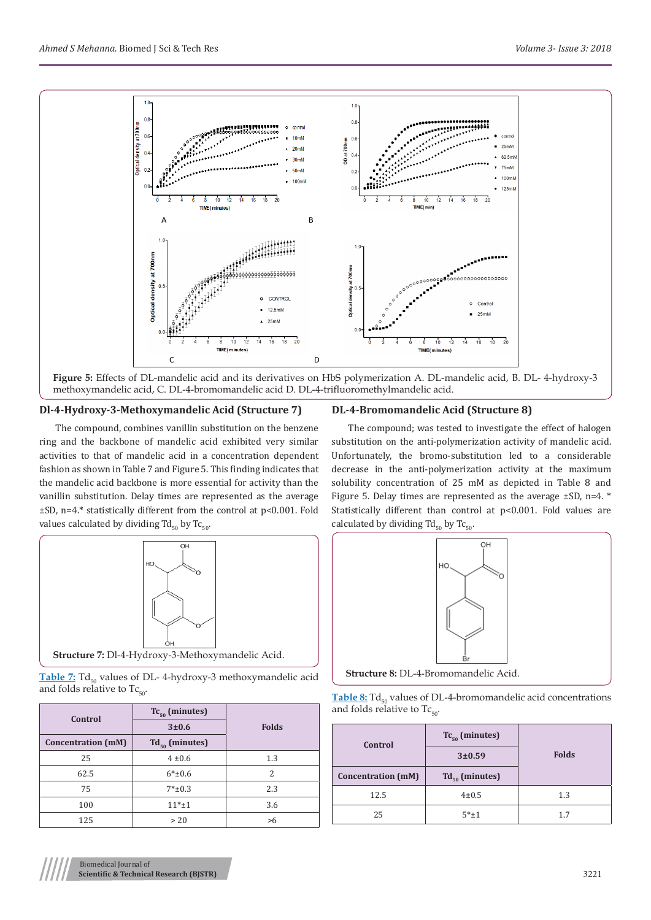

**Figure 5:** Effects of DL-mandelic acid and its derivatives on HbS polymerization A. DL-mandelic acid, B. DL- 4-hydroxy-3 methoxymandelic acid, C. DL-4-bromomandelic acid D. DL-4-trifluoromethylmandelic acid.

#### **Dl-4-Hydroxy-3-Methoxymandelic Acid (Structure 7)**

The compound, combines vanillin substitution on the benzene ring and the backbone of mandelic acid exhibited very similar activities to that of mandelic acid in a concentration dependent fashion as shown in Table 7 and Figure 5. This finding indicates that the mandelic acid backbone is more essential for activity than the vanillin substitution. Delay times are represented as the average ±SD, n=4.\* statistically different from the control at p<0.001. Fold values calculated by dividing  $Td_{50}$  by Tc<sub>50</sub>.



Table 7: Td<sub>50</sub> values of DL- 4-hydroxy-3 methoxymandelic acid and folds relative to  $Tc_{50}$ .

| Control                   | $Tc_{50}$ (minutes)<br>3±0.6 | <b>Folds</b> |
|---------------------------|------------------------------|--------------|
| <b>Concentration (mM)</b> | $Td_{50}$ (minutes)          |              |
| 25                        | $4 \pm 0.6$                  | 1.3          |
| 62.5                      | $6*_{\pm}0.6$                | 2            |
| 75                        | $7*_{\pm}0.3$                | 2.3          |
| 100                       | $11*_{\pm}1$                 | 3.6          |
| 125                       | > 20                         | >6           |

#### **DL-4-Bromomandelic Acid (Structure 8)**

The compound; was tested to investigate the effect of halogen substitution on the anti-polymerization activity of mandelic acid. Unfortunately, the bromo-substitution led to a considerable decrease in the anti-polymerization activity at the maximum solubility concentration of 25 mM as depicted in Table 8 and Figure 5. Delay times are represented as the average ±SD, n=4. \* Statistically different than control at p<0.001. Fold values are calculated by dividing  $Td_{50}$  by  $Tc_{50}$ .



**Structure 8:** DL-4-Bromomandelic Acid.

| <b>Table 8:</b> $Td_{50}$ values of DL-4-bromomandelic acid concentrations |
|----------------------------------------------------------------------------|
| and folds relative to $Tc_{\rm so}$ .                                      |

| Control                   | $Tc_{50}$ (minutes)<br>3±0.59 | <b>Folds</b> |  |
|---------------------------|-------------------------------|--------------|--|
| <b>Concentration (mM)</b> | $Td_{50}$ (minutes)           |              |  |
| 12.5                      | $4 \pm 0.5$                   | 1.3          |  |
| 25                        | $5*+1$                        | 1.7          |  |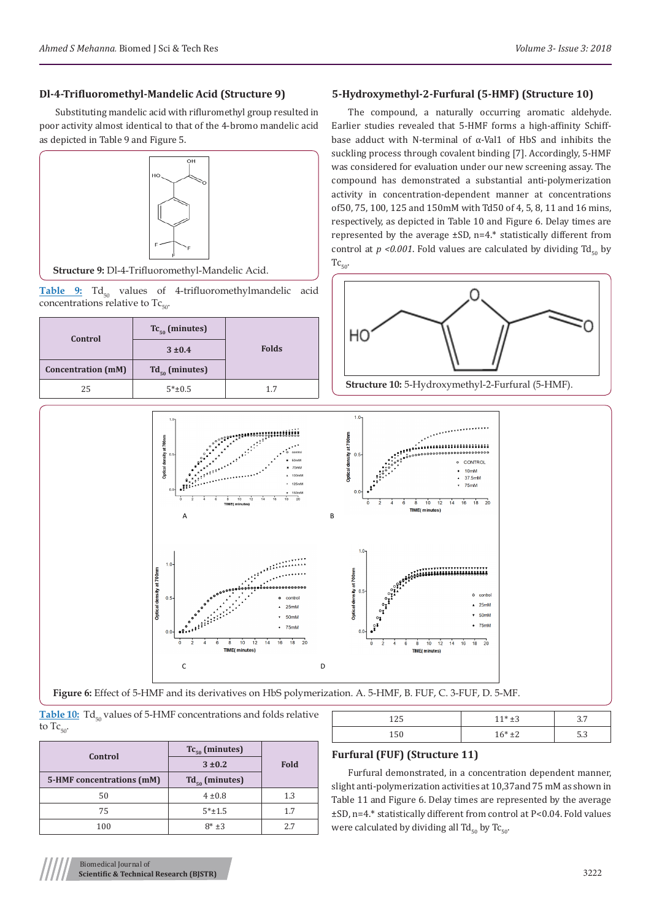#### **Dl-4-Trifluoromethyl-Mandelic Acid (Structure 9)**

Substituting mandelic acid with rifluromethyl group resulted in poor activity almost identical to that of the 4-bromo mandelic acid as depicted in Table 9 and Figure 5.



**Structure 9:** Dl-4-Trifluoromethyl-Mandelic Acid.

Table 9: Td<sub>50</sub> values of 4-trifluoromethylmandelic acid concentrations relative to  $Tc_{50}$ .

| Control                   | $Tc_{50}$ (minutes) |              |  |
|---------------------------|---------------------|--------------|--|
|                           | $3 \pm 0.4$         | <b>Folds</b> |  |
| <b>Concentration</b> (mM) | $Td_{50}$ (minutes) |              |  |
| 25                        | $5*+0.5$            | 1.7          |  |

#### **5-Hydroxymethyl-2-Furfural (5-HMF) (Structure 10)**

The compound, a naturally occurring aromatic aldehyde. Earlier studies revealed that 5-HMF forms a high-affinity Schiffbase adduct with N-terminal of α-Val1 of HbS and inhibits the suckling process through covalent binding [7]. Accordingly, 5-HMF was considered for evaluation under our new screening assay. The compound has demonstrated a substantial anti-polymerization activity in concentration-dependent manner at concentrations of50, 75, 100, 125 and 150mM with Td50 of 4, 5, 8, 11 and 16 mins, respectively, as depicted in Table 10 and Figure 6. Delay times are represented by the average ±SD, n=4.\* statistically different from control at  $p < 0.001$ . Fold values are calculated by dividing Td<sub>50</sub> by  $Tc_{50}$ .





**Figure 6:** Effect of 5-HMF and its derivatives on HbS polymerization. A. 5-HMF, B. FUF, C. 3-FUF, D. 5-MF.

|                |  | <b>Table 10:</b> Td <sub>so</sub> values of 5-HMF concentrations and folds relative |  |  |
|----------------|--|-------------------------------------------------------------------------------------|--|--|
| to $Tc_{50}$ . |  |                                                                                     |  |  |

|                           | $Tc_{50}$ (minutes) |             |
|---------------------------|---------------------|-------------|
| Control                   | $3 + 0.2$           | <b>Fold</b> |
| 5-HMF concentrations (mM) | $Td_{50}$ (minutes) |             |
| 50                        | $4 \pm 0.8$         | 1.3         |
| 75                        | $5*+1.5$            | 1.7         |
| 100                       | $8*+3$              | 27          |

| 150                                  | $16*+2$ | 5.3 |
|--------------------------------------|---------|-----|
| <b>Furfural (FUF) (Structure 11)</b> |         |     |

Furfural demonstrated, in a concentration dependent manner, slight anti-polymerization activities at 10,37and 75 mM as shown in Table 11 and Figure 6. Delay times are represented by the average ±SD, n=4.\* statistically different from control at P<0.04. Fold values were calculated by dividing all Td<sub>50</sub> by Tc<sub>50</sub>.

 $125 \t\t 11* \pm 3 \t\t 3.7$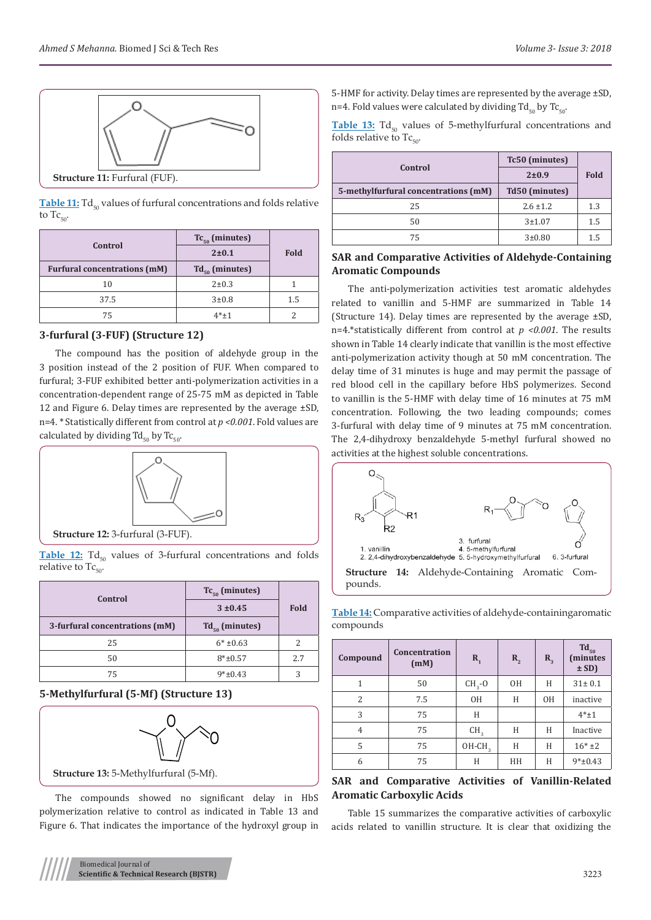

**Table 11:** Td<sub>50</sub> values of furfural concentrations and folds relative to  $Tc_{50}$ .

| Control                             | $Tc_{50}$ (minutes) |      |
|-------------------------------------|---------------------|------|
|                                     | $2 + 0.1$           | Fold |
| <b>Furfural concentrations (mM)</b> | $Td_{50}$ (minutes) |      |
| 10                                  | $2 + 0.3$           |      |
| 37.5                                | $3 + 0.8$           | 1.5  |
| 75                                  | $4*+1$              |      |

# **3-furfural (3-FUF) (Structure 12)**

The compound has the position of aldehyde group in the 3 position instead of the 2 position of FUF. When compared to furfural; 3-FUF exhibited better anti-polymerization activities in a concentration-dependent range of 25-75 mM as depicted in Table 12 and Figure 6. Delay times are represented by the average ±SD, n=4. \* Statistically different from control at *p <0.001*. Fold values are calculated by dividing  $Td_{50}$  by Tc<sub>50</sub>.



Table 12: Td<sub>50</sub> values of 3-furfural concentrations and folds relative to  $Tc_{50}$ .

| Control                        | $Tc_{50}$ (minutes)         |             |
|--------------------------------|-----------------------------|-------------|
|                                | $3 + 0.45$                  | <b>Fold</b> |
| 3-furfural concentrations (mM) | $Td_{\epsilon_0}$ (minutes) |             |
| 25                             | $6*$ ±0.63                  |             |
| 50                             | $8*+0.57$                   | 2.7         |
| 75                             | $9*+0.43$                   | 3           |

### **5-Methylfurfural (5-Mf) (Structure 13)**



The compounds showed no significant delay in HbS polymerization relative to control as indicated in Table 13 and Figure 6. That indicates the importance of the hydroxyl group in

5-HMF for activity. Delay times are represented by the average ±SD, n=4. Fold values were calculated by dividing  $Td_{50}$  by  $Tc_{50}$ .

Table 13: Td<sub>50</sub> values of 5-methylfurfural concentrations and folds relative to  $Tc_{50}$ .

|                                      | Tc50 (minutes) |      |  |
|--------------------------------------|----------------|------|--|
| Control                              | $2 \pm 0.9$    | Fold |  |
| 5-methylfurfural concentrations (mM) | Td50 (minutes) |      |  |
| 25                                   | $2.6 \pm 1.2$  | 1.3  |  |
| 50                                   | $3 + 1.07$     | 1.5  |  |
| 75                                   | 3±0.80         | 1.5  |  |

#### **SAR and Comparative Activities of Aldehyde-Containing Aromatic Compounds**

The anti-polymerization activities test aromatic aldehydes related to vanillin and 5-HMF are summarized in Table 14 (Structure 14). Delay times are represented by the average ±SD, n=4.\*statistically different from control at *p <0.001*. The results shown in Table 14 clearly indicate that vanillin is the most effective anti-polymerization activity though at 50 mM concentration. The delay time of 31 minutes is huge and may permit the passage of red blood cell in the capillary before HbS polymerizes. Second to vanillin is the 5-HMF with delay time of 16 minutes at 75 mM concentration. Following, the two leading compounds; comes 3-furfural with delay time of 9 minutes at 75 mM concentration. The 2,4-dihydroxy benzaldehyde 5-methyl furfural showed no activities at the highest soluble concentrations.



pounds.

**Table 14:** Comparative activities of aldehyde-containingaromatic compounds

| Compound       | Concentration<br>(mM) | $\mathbf{R}_{1}$ | $R_{2}$ | $R_{3}$ | $Td_{50}$<br>(minutes<br>$\pm$ SD) |
|----------------|-----------------------|------------------|---------|---------|------------------------------------|
| 1              | 50                    | $CH3$ -O         | 0H      | H       | $31 \pm 0.1$                       |
| 2              | 7.5                   | 0H               | Н       | 0H      | inactive                           |
| 3              | 75                    | Н                |         |         | $4*+1$                             |
| $\overline{4}$ | 75                    | CH <sub>3</sub>  | Н       | H       | Inactive                           |
| 5              | 75                    | $OH-CH3$         | H       | Н       | $16*+2$                            |
| 6              | 75                    | Н                | HН      | Н       | $9*+0.43$                          |

# **SAR and Comparative Activities of Vanillin-Related Aromatic Carboxylic Acids**

Table 15 summarizes the comparative activities of carboxylic acids related to vanillin structure. It is clear that oxidizing the